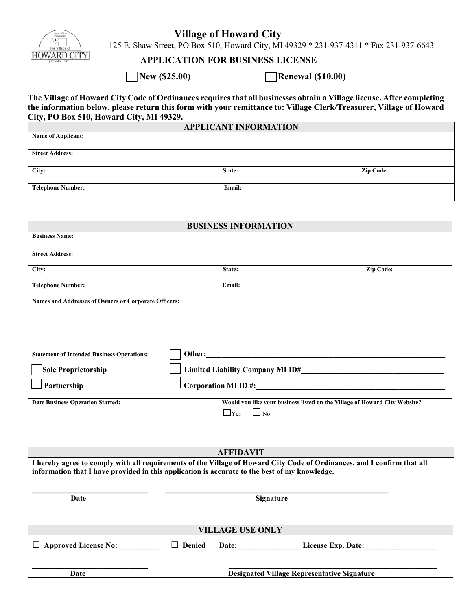

## **Village of Howard City**

125 E. Shaw Street, PO Box 510, Howard City, MI 49329 \* 231-937-4311 \* Fax 231-937-6643

## **APPLICATION FOR BUSINESS LICENSE**

**□ New (\$25.00) □ Renewal (\$10.00)**

**The Village of Howard City Code of Ordinances requires that all businesses obtain a Village license. After completing the information below, please return this form with your remittance to: Village Clerk/Treasurer, Village of Howard City, PO Box 510, Howard City, MI 49329.**

| <b>APPLICANT INFORMATION</b> |        |                  |  |
|------------------------------|--------|------------------|--|
| <b>Name of Applicant:</b>    |        |                  |  |
|                              |        |                  |  |
| <b>Street Address:</b>       |        |                  |  |
|                              |        |                  |  |
| City:                        | State: | <b>Zip Code:</b> |  |
|                              |        |                  |  |
| <b>Telephone Number:</b>     | Email: |                  |  |

| <b>BUSINESS INFORMATION</b>                          |                                                                            |           |  |  |
|------------------------------------------------------|----------------------------------------------------------------------------|-----------|--|--|
| <b>Business Name:</b>                                |                                                                            |           |  |  |
| <b>Street Address:</b>                               |                                                                            |           |  |  |
| City:                                                | State:                                                                     | Zip Code: |  |  |
| <b>Telephone Number:</b>                             | Email:                                                                     |           |  |  |
| Names and Addresses of Owners or Corporate Officers: |                                                                            |           |  |  |
|                                                      |                                                                            |           |  |  |
|                                                      |                                                                            |           |  |  |
|                                                      |                                                                            |           |  |  |
| <b>Statement of Intended Business Operations:</b>    |                                                                            |           |  |  |
| Sole Proprietorship                                  | Limited Liability Company MI ID#                                           |           |  |  |
| Partnership                                          | Corporation MI ID $\#$ :                                                   |           |  |  |
| <b>Date Business Operation Started:</b>              | Would you like your business listed on the Village of Howard City Website? |           |  |  |
|                                                      | $\Box$ Yes $\Box$ No                                                       |           |  |  |
|                                                      |                                                                            |           |  |  |

| <b>AFFIDAVIT</b>                                                                                                                                                                                                         |                               |                              |                    |  |  |  |
|--------------------------------------------------------------------------------------------------------------------------------------------------------------------------------------------------------------------------|-------------------------------|------------------------------|--------------------|--|--|--|
| I hereby agree to comply with all requirements of the Village of Howard City Code of Ordinances, and I confirm that all<br>information that I have provided in this application is accurate to the best of my knowledge. |                               |                              |                    |  |  |  |
| Date                                                                                                                                                                                                                     | <b>Signature</b>              |                              |                    |  |  |  |
|                                                                                                                                                                                                                          |                               |                              |                    |  |  |  |
| <b>VILLAGE USE ONLY</b>                                                                                                                                                                                                  |                               |                              |                    |  |  |  |
| $\Box$ Approved License No:                                                                                                                                                                                              | <b>Denied</b><br>$\mathsf{L}$ | Date: $\qquad \qquad \qquad$ | License Exp. Date: |  |  |  |